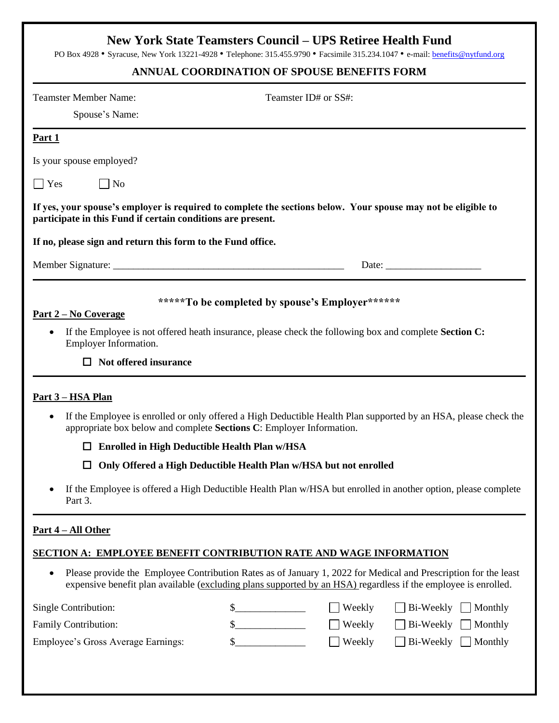## **New York State Teamsters Council – UPS Retiree Health Fund**

PO Box 4928 • Syracuse, New York 13221-4928 • Telephone: 315.455.9790 • Facsimile 315.234.1047 • e-mail: **benefits@nytfund.org** 

## **ANNUAL COORDINATION OF SPOUSE BENEFITS FORM**

| <b>Teamster Member Name:</b><br>Spouse's Name:                                                    | Teamster ID# or SS#:                                                                                                                                                                                                              |
|---------------------------------------------------------------------------------------------------|-----------------------------------------------------------------------------------------------------------------------------------------------------------------------------------------------------------------------------------|
| Part 1                                                                                            |                                                                                                                                                                                                                                   |
| Is your spouse employed?                                                                          |                                                                                                                                                                                                                                   |
| $\Box$ No<br>$\vert$ Yes                                                                          |                                                                                                                                                                                                                                   |
| participate in this Fund if certain conditions are present.                                       | If yes, your spouse's employer is required to complete the sections below. Your spouse may not be eligible to                                                                                                                     |
| If no, please sign and return this form to the Fund office.                                       |                                                                                                                                                                                                                                   |
|                                                                                                   |                                                                                                                                                                                                                                   |
| <u>Part 2 – No Coverage</u><br>$\bullet$<br>Employer Information.<br>$\Box$ Not offered insurance | *****To be completed by spouse's Employer******<br>If the Employee is not offered heath insurance, please check the following box and complete <b>Section C:</b>                                                                  |
| <u>Part 3 – HSA Plan</u>                                                                          |                                                                                                                                                                                                                                   |
| ٠                                                                                                 | If the Employee is enrolled or only offered a High Deductible Health Plan supported by an HSA, please check the<br>appropriate box below and complete Sections C: Employer Information.                                           |
| □                                                                                                 | <b>Enrolled in High Deductible Health Plan w/HSA</b>                                                                                                                                                                              |
| $\Box$                                                                                            | Only Offered a High Deductible Health Plan w/HSA but not enrolled                                                                                                                                                                 |
| Part 3.                                                                                           | If the Employee is offered a High Deductible Health Plan w/HSA but enrolled in another option, please complete                                                                                                                    |
| <u>Part 4 – All Other</u>                                                                         |                                                                                                                                                                                                                                   |
|                                                                                                   | <b>SECTION A: EMPLOYEE BENEFIT CONTRIBUTION RATE AND WAGE INFORMATION</b>                                                                                                                                                         |
| $\bullet$                                                                                         | Please provide the Employee Contribution Rates as of January 1, 2022 for Medical and Prescription for the least<br>expensive benefit plan available (excluding plans supported by an HSA) regardless if the employee is enrolled. |
| Single Contribution:                                                                              | $\mathbb{S}^-$<br>Weekly<br>Bi-Weekly<br>Monthly                                                                                                                                                                                  |
| Family Contribution:                                                                              | $\mathbb{S}$<br>Weekly<br>Bi-Weekly<br>Monthly                                                                                                                                                                                    |
| Employee's Gross Average Earnings:                                                                | $\sqrt{\ }$ Weekly<br>$\mathbb{S}$<br>Bi-Weekly<br>Monthly                                                                                                                                                                        |